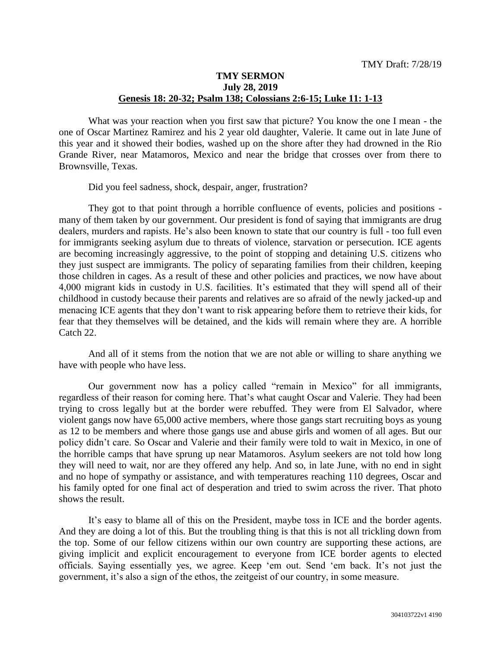## **TMY SERMON July 28, 2019 Genesis 18: 20-32; Psalm 138; Colossians 2:6-15; Luke 11: 1-13**

What was your reaction when you first saw that picture? You know the one I mean - the one of Oscar Martinez Ramirez and his 2 year old daughter, Valerie. It came out in late June of this year and it showed their bodies, washed up on the shore after they had drowned in the Rio Grande River, near Matamoros, Mexico and near the bridge that crosses over from there to Brownsville, Texas.

Did you feel sadness, shock, despair, anger, frustration?

They got to that point through a horrible confluence of events, policies and positions many of them taken by our government. Our president is fond of saying that immigrants are drug dealers, murders and rapists. He's also been known to state that our country is full - too full even for immigrants seeking asylum due to threats of violence, starvation or persecution. ICE agents are becoming increasingly aggressive, to the point of stopping and detaining U.S. citizens who they just suspect are immigrants. The policy of separating families from their children, keeping those children in cages. As a result of these and other policies and practices, we now have about 4,000 migrant kids in custody in U.S. facilities. It's estimated that they will spend all of their childhood in custody because their parents and relatives are so afraid of the newly jacked-up and menacing ICE agents that they don't want to risk appearing before them to retrieve their kids, for fear that they themselves will be detained, and the kids will remain where they are. A horrible Catch 22.

And all of it stems from the notion that we are not able or willing to share anything we have with people who have less.

Our government now has a policy called "remain in Mexico" for all immigrants, regardless of their reason for coming here. That's what caught Oscar and Valerie. They had been trying to cross legally but at the border were rebuffed. They were from El Salvador, where violent gangs now have 65,000 active members, where those gangs start recruiting boys as young as 12 to be members and where those gangs use and abuse girls and women of all ages. But our policy didn't care. So Oscar and Valerie and their family were told to wait in Mexico, in one of the horrible camps that have sprung up near Matamoros. Asylum seekers are not told how long they will need to wait, nor are they offered any help. And so, in late June, with no end in sight and no hope of sympathy or assistance, and with temperatures reaching 110 degrees, Oscar and his family opted for one final act of desperation and tried to swim across the river. That photo shows the result.

It's easy to blame all of this on the President, maybe toss in ICE and the border agents. And they are doing a lot of this. But the troubling thing is that this is not all trickling down from the top. Some of our fellow citizens within our own country are supporting these actions, are giving implicit and explicit encouragement to everyone from ICE border agents to elected officials. Saying essentially yes, we agree. Keep 'em out. Send 'em back. It's not just the government, it's also a sign of the ethos, the zeitgeist of our country, in some measure.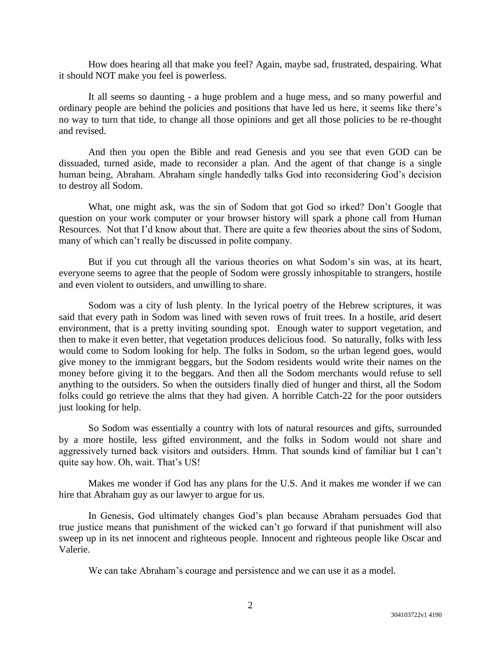How does hearing all that make you feel? Again, maybe sad, frustrated, despairing. What it should NOT make you feel is powerless.

It all seems so daunting - a huge problem and a huge mess, and so many powerful and ordinary people are behind the policies and positions that have led us here, it seems like there's no way to turn that tide, to change all those opinions and get all those policies to be re-thought and revised.

And then you open the Bible and read Genesis and you see that even GOD can be dissuaded, turned aside, made to reconsider a plan. And the agent of that change is a single human being, Abraham. Abraham single handedly talks God into reconsidering God's decision to destroy all Sodom.

What, one might ask, was the sin of Sodom that got God so irked? Don't Google that question on your work computer or your browser history will spark a phone call from Human Resources. Not that I'd know about that. There are quite a few theories about the sins of Sodom, many of which can't really be discussed in polite company.

But if you cut through all the various theories on what Sodom's sin was, at its heart, everyone seems to agree that the people of Sodom were grossly inhospitable to strangers, hostile and even violent to outsiders, and unwilling to share.

Sodom was a city of lush plenty. In the lyrical poetry of the Hebrew scriptures, it was said that every path in Sodom was lined with seven rows of fruit trees. In a hostile, arid desert environment, that is a pretty inviting sounding spot. Enough water to support vegetation, and then to make it even better, that vegetation produces delicious food. So naturally, folks with less would come to Sodom looking for help. The folks in Sodom, so the urban legend goes, would give money to the immigrant beggars, but the Sodom residents would write their names on the money before giving it to the beggars. And then all the Sodom merchants would refuse to sell anything to the outsiders. So when the outsiders finally died of hunger and thirst, all the Sodom folks could go retrieve the alms that they had given. A horrible Catch-22 for the poor outsiders just looking for help.

So Sodom was essentially a country with lots of natural resources and gifts, surrounded by a more hostile, less gifted environment, and the folks in Sodom would not share and aggressively turned back visitors and outsiders. Hmm. That sounds kind of familiar but I can't quite say how. Oh, wait. That's US!

Makes me wonder if God has any plans for the U.S. And it makes me wonder if we can hire that Abraham guy as our lawyer to argue for us.

In Genesis, God ultimately changes God's plan because Abraham persuades God that true justice means that punishment of the wicked can't go forward if that punishment will also sweep up in its net innocent and righteous people. Innocent and righteous people like Oscar and Valerie.

We can take Abraham's courage and persistence and we can use it as a model.